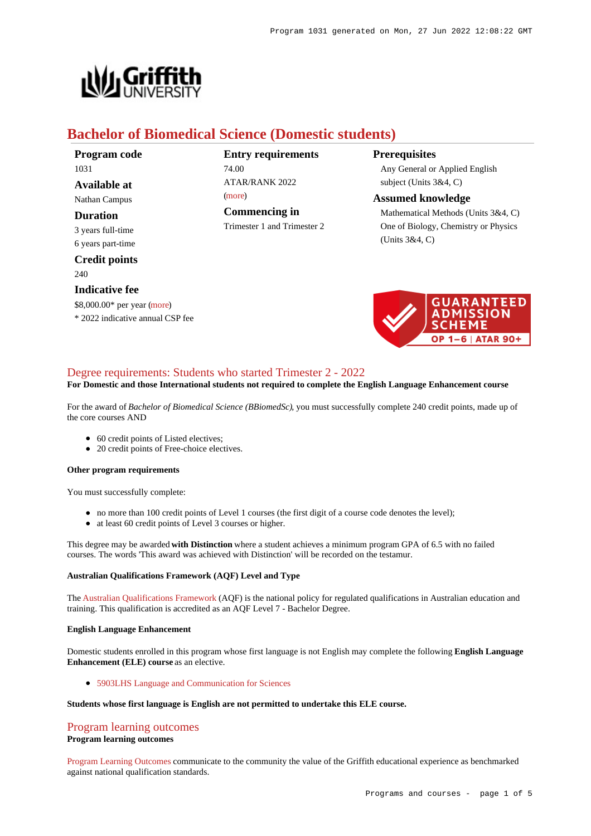

# **Bachelor of Biomedical Science (Domestic students)**

- **Program code** 1031 **Available at**
- Nathan Campus

### **Duration**

3 years full-time 6 years part-time

### **Credit points** 240

#### **Indicative fee**

\$8,000.00\* per year [\(more](https://www148.griffith.edu.au/programs-courses/Program/1031/Overview/Domestic#fees))

\* 2022 indicative annual CSP fee

### **Entry requirements** 74.00 ATAR/RANK 2022 [\(more](https://www148.griffith.edu.au/programs-courses/Program/1031/HowToApply/Domestic#tac-entry-requirements))

**Commencing in**

Trimester 1 and Trimester 2

### **Prerequisites**

Any General or Applied English subject (Units 3&4, C)

#### **Assumed knowledge**

Mathematical Methods (Units 3&4, C) One of Biology, Chemistry or Physics (Units 3&4, C)



### [Degree requirements: Students who started Trimester 2 - 2022](https://www148.griffith.edu.au/programs-courses/Program/1031/Courses/Domestic#degree-requirements)

### **For Domestic and those International students not required to complete the English Language Enhancement course**

For the award of *Bachelor of Biomedical Science (BBiomedSc)*, you must successfully complete 240 credit points, made up of the core courses AND

- 60 credit points of Listed electives;
- 20 credit points of Free-choice electives.

#### **Other program requirements**

You must successfully complete:

- no more than 100 credit points of Level 1 courses (the first digit of a course code denotes the level);
- at least 60 credit points of Level 3 courses or higher.

This degree may be awarded **with Distinction** where a student achieves a minimum program GPA of 6.5 with no failed courses. The words 'This award was achieved with Distinction' will be recorded on the testamur.

### **Australian Qualifications Framework (AQF) Level and Type**

The [Australian Qualifications Framework](http://www.aqf.edu.au/) (AQF) is the national policy for regulated qualifications in Australian education and training. This qualification is accredited as an AQF Level 7 - Bachelor Degree.

#### **English Language Enhancement**

Domestic students enrolled in this program whose first language is not English may complete the following **English Language Enhancement (ELE) course** as an elective.

[5903LHS Language and Communication for Sciences](https://www148.griffith.edu.au/Course/5903LHS)

#### **Students whose first language is English are not permitted to undertake this ELE course.**

### [Program learning outcomes](https://www148.griffith.edu.au/programs-courses/Program/1031/Courses/Domestic#programLearningOutcomes)

**Program learning outcomes**

[Program Learning Outcomes](https://www.griffith.edu.au/__data/assets/pdf_file/0017/134522/PLO-general-advice.pdf) communicate to the community the value of the Griffith educational experience as benchmarked against national qualification standards.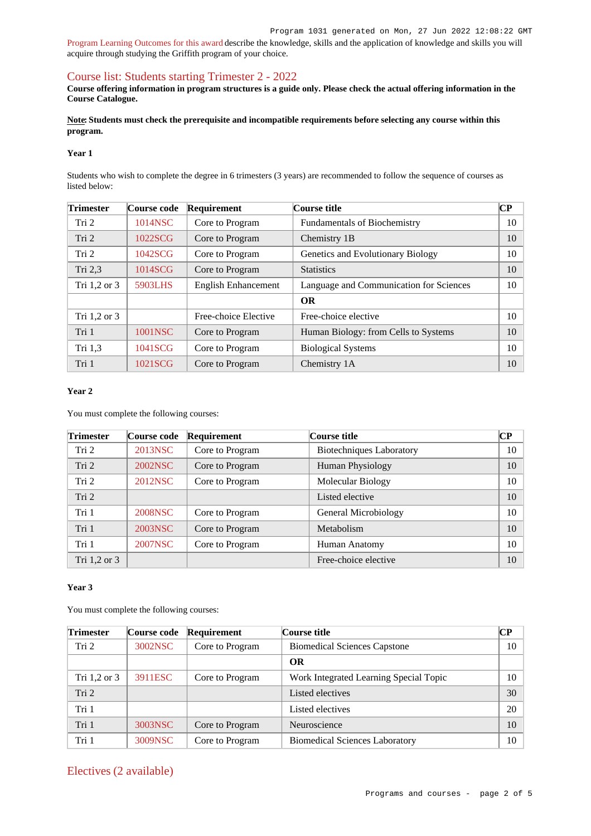[Program Learning Outcomes for this award](https://www.griffith.edu.au/__data/assets/pdf_file/0012/301170/BBiomedical-Science-SCG-PLO-L7.pdf) describe the knowledge, skills and the application of knowledge and skills you will acquire through studying the Griffith program of your choice.

### [Course list: Students starting Trimester 2 - 2022](https://www148.griffith.edu.au/programs-courses/Program/1031/Courses/Domestic#course-list-content)

**Course offering information in program structures is a guide only. Please check the actual offering information in the Course Catalogue.**

**Note: Students must check the prerequisite and incompatible requirements before selecting any course within this program.**

#### **Year 1**

Students who wish to complete the degree in 6 trimesters (3 years) are recommended to follow the sequence of courses as listed below:

| <b>Trimester</b> | Course code | Requirement                | Course title                            | <b>CP</b> |
|------------------|-------------|----------------------------|-----------------------------------------|-----------|
| Tri 2            | 1014NSC     | Core to Program            | <b>Fundamentals of Biochemistry</b>     | 10        |
| Tri 2            | 1022SCG     | Core to Program            | Chemistry 1B                            | 10        |
| Tri 2            | 1042SCG     | Core to Program            | Genetics and Evolutionary Biology       | 10        |
| Tri 2,3          | 1014SCG     | Core to Program            | <b>Statistics</b>                       | 10        |
| Tri 1,2 or 3     | 5903LHS     | <b>English Enhancement</b> | Language and Communication for Sciences | 10        |
|                  |             |                            | <b>OR</b>                               |           |
| Tri 1,2 or 3     |             | Free-choice Elective       | Free-choice elective                    | 10        |
| Tri 1            | 1001NSC     | Core to Program            | Human Biology: from Cells to Systems    | 10        |
| Tri 1,3          | 1041SCG     | Core to Program            | <b>Biological Systems</b>               | 10        |
| Tri 1            | 1021SCG     | Core to Program            | Chemistry 1A                            | 10        |

### **Year 2**

You must complete the following courses:

| <b>Trimester</b> | Course code | Requirement     | Course title                    | $\bf CP$ |
|------------------|-------------|-----------------|---------------------------------|----------|
| Tri 2            | 2013NSC     | Core to Program | <b>Biotechniques Laboratory</b> | 10       |
| Tri 2            | 2002NSC     | Core to Program | Human Physiology                | 10       |
| Tri 2            | 2012NSC     | Core to Program | Molecular Biology               | 10       |
| Tri 2            |             |                 | Listed elective                 | 10       |
| Tri 1            | 2008NSC     | Core to Program | General Microbiology            | 10       |
| Tri 1            | 2003NSC     | Core to Program | Metabolism                      | 10       |
| Tri 1            | 2007NSC     | Core to Program | Human Anatomy                   | 10       |
| Tri 1,2 or 3     |             |                 | Free-choice elective            | 10       |

#### **Year 3**

You must complete the following courses:

| <b>Trimester</b> | Course code | Requirement     | Course title                           | $\bf CP$ |
|------------------|-------------|-----------------|----------------------------------------|----------|
| Tri 2            | 3002NSC     | Core to Program | <b>Biomedical Sciences Capstone</b>    | 10       |
|                  |             |                 | <b>OR</b>                              |          |
| Tri 1,2 or 3     | 3911ESC     | Core to Program | Work Integrated Learning Special Topic | 10       |
| Tri 2            |             |                 | Listed electives                       | 30       |
| Tri 1            |             |                 | Listed electives                       | 20       |
| Tri 1            | 3003NSC     | Core to Program | Neuroscience                           | 10       |
| Tri 1            | 3009NSC     | Core to Program | <b>Biomedical Sciences Laboratory</b>  | 10       |

### Electives (2 available)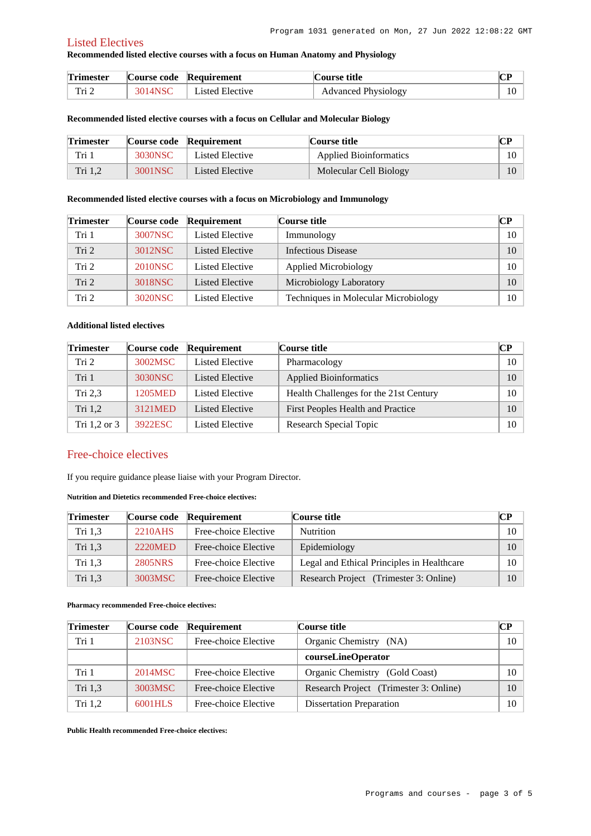## Listed Electives

**Recommended listed elective courses with a focus on Human Anatomy and Physiology**

| <b>Trimester</b> |         | Course code Requirement | Course title               | $\sim$ D |  |
|------------------|---------|-------------------------|----------------------------|----------|--|
| Tri 2            | 3014NSC | Listed Elective         | <b>Advanced Physiology</b> |          |  |

#### **Recommended listed elective courses with a focus on Cellular and Molecular Biology**

| <b>Trimester</b> |         | Course code Requirement | Course title                  | CР |
|------------------|---------|-------------------------|-------------------------------|----|
| Tri 1            | 3030NSC | Listed Elective         | <b>Applied Bioinformatics</b> |    |
| Tri 1.2          | 3001NSC | Listed Elective         | Molecular Cell Biology        |    |

### **Recommended listed elective courses with a focus on Microbiology and Immunology**

| <b>Trimester</b> | Course code | Requirement     | Course title                         | CР |
|------------------|-------------|-----------------|--------------------------------------|----|
| Tri 1            | 3007NSC     | Listed Elective | Immunology                           | 10 |
| Tri <sub>2</sub> | 3012NSC     | Listed Elective | Infectious Disease                   | 10 |
| Tri <sub>2</sub> | 2010NSC     | Listed Elective | Applied Microbiology                 | 10 |
| Tri <sub>2</sub> | 3018NSC     | Listed Elective | Microbiology Laboratory              | 10 |
| Tri 2            | 3020NSC     | Listed Elective | Techniques in Molecular Microbiology | 10 |

### **Additional listed electives**

| <b>Trimester</b> | Course code | Requirement            | Course title                           | CР |
|------------------|-------------|------------------------|----------------------------------------|----|
| Tri 2            | 3002MSC     | <b>Listed Elective</b> | Pharmacology                           | 10 |
| Tri 1            | 3030NSC     | Listed Elective        | <b>Applied Bioinformatics</b>          | 10 |
| Tri $2,3$        | 1205MED     | <b>Listed Elective</b> | Health Challenges for the 21st Century | 10 |
| Tri $1,2$        | 3121MED     | Listed Elective        | First Peoples Health and Practice      | 10 |
| Tri $1,2$ or $3$ | 3922ESC     | Listed Elective        | Research Special Topic                 | 10 |

# Free-choice electives

If you require guidance please liaise with your Program Director.

### **Nutrition and Dietetics recommended Free-choice electives:**

| <b>Trimester</b> |         | Course code Requirement | Course title                               | CР |
|------------------|---------|-------------------------|--------------------------------------------|----|
| Tri 1,3          | 2210AHS | Free-choice Elective    | <b>Nutrition</b>                           | 10 |
| Tri 1,3          | 2220MED | Free-choice Elective    | Epidemiology                               | 10 |
| Tri 1.3          | 2805NRS | Free-choice Elective    | Legal and Ethical Principles in Healthcare | 10 |
| Tri 1,3          | 3003MSC | Free-choice Elective    | Research Project (Trimester 3: Online)     | 10 |

#### **Pharmacy recommended Free-choice electives:**

| <b>Trimester</b> | Course code | Requirement          | Course title                           | <b>CP</b> |
|------------------|-------------|----------------------|----------------------------------------|-----------|
| Tri 1            | 2103NSC     | Free-choice Elective | Organic Chemistry (NA)                 | 10        |
|                  |             |                      | courseLineOperator                     |           |
| Tri 1            | 2014MSC     | Free-choice Elective | Organic Chemistry (Gold Coast)         | $10-10$   |
| Tri 1,3          | 3003MSC     | Free-choice Elective | Research Project (Trimester 3: Online) | 10        |
| Tri $1,2$        | 6001HLS     | Free-choice Elective | <b>Dissertation Preparation</b>        | 10        |

**Public Health recommended Free-choice electives:**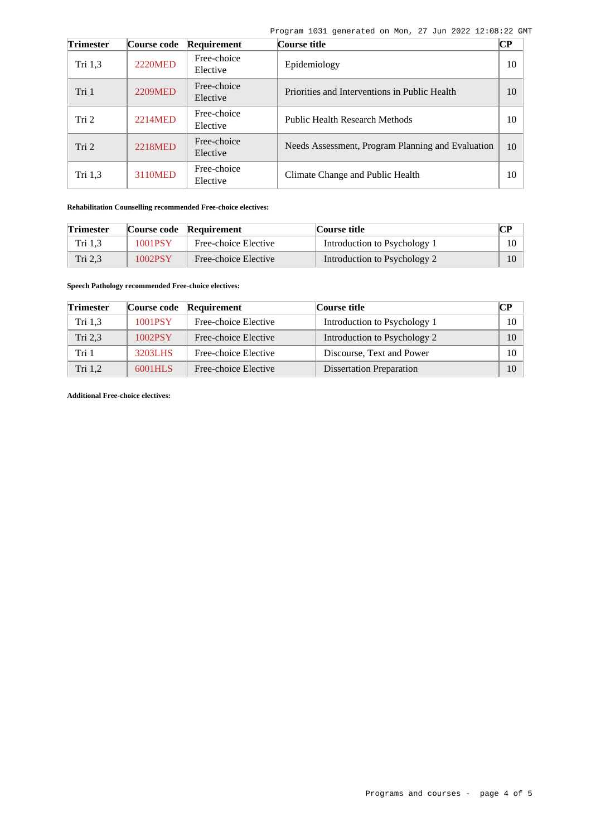| <b>Trimester</b> | Course code    | Requirement             | Course title                                      | <b>CP</b> |
|------------------|----------------|-------------------------|---------------------------------------------------|-----------|
| Tri $1,3$        | <b>2220MED</b> | Free-choice<br>Elective | Epidemiology                                      | 10        |
| Tri 1            | <b>2209MED</b> | Free-choice<br>Elective | Priorities and Interventions in Public Health     | 10        |
| Tri <sub>2</sub> | 2214MED        | Free-choice<br>Elective | <b>Public Health Research Methods</b>             | 10        |
| Tri <sub>2</sub> | 2218MED        | Free-choice<br>Elective | Needs Assessment, Program Planning and Evaluation | 10        |
| Tri 1,3          | 3110MED        | Free-choice<br>Elective | Climate Change and Public Health                  | 10        |

### **Rehabilitation Counselling recommended Free-choice electives:**

| <b>Trimester</b> |         | Course code Requirement | Course title                 | $\mathbf{C}\mathbf{P}$ |
|------------------|---------|-------------------------|------------------------------|------------------------|
| Tri 1.3          | 1001PSY | Free-choice Elective    | Introduction to Psychology 1 |                        |
| Tri 2.3          | 1002PSY | Free-choice Elective    | Introduction to Psychology 2 | 10                     |

**Speech Pathology recommended Free-choice electives:**

| Trimester | Course code | Requirement          | Course title                    | CР |
|-----------|-------------|----------------------|---------------------------------|----|
| Tri 1.3   | 1001PSY     | Free-choice Elective | Introduction to Psychology 1    | 10 |
| Tri $2.3$ | 1002PSY     | Free-choice Elective | Introduction to Psychology 2    | 10 |
| Tri 1     | 3203LHS     | Free-choice Elective | Discourse, Text and Power       | 10 |
| Tri 1,2   | $6001$ HLS  | Free-choice Elective | <b>Dissertation Preparation</b> | 10 |

**Additional Free-choice electives:**